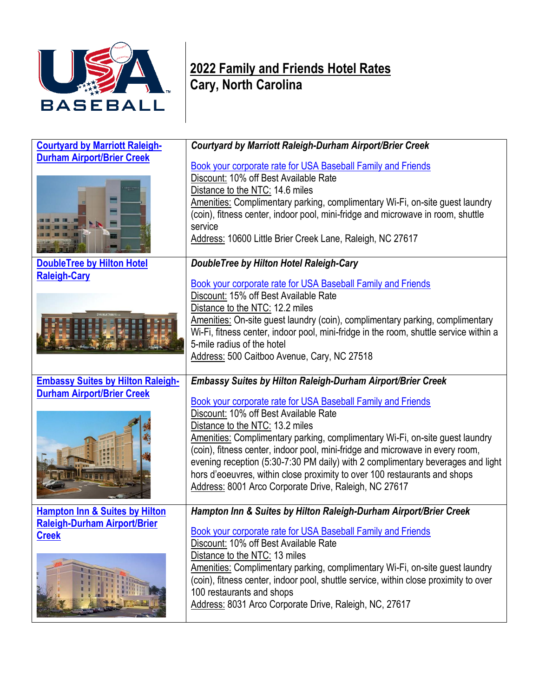

## **2022 Family and Friends Hotel Rates Cary, North Carolina**

| <b>Courtyard by Marriott Raleigh-</b>                    | Courtyard by Marriott Raleigh-Durham Airport/Brier Creek                                                                                                                                                                                                                                                                                                                                                                                                                                                                           |
|----------------------------------------------------------|------------------------------------------------------------------------------------------------------------------------------------------------------------------------------------------------------------------------------------------------------------------------------------------------------------------------------------------------------------------------------------------------------------------------------------------------------------------------------------------------------------------------------------|
| <b>Durham Airport/Brier Creek</b>                        | Book your corporate rate for USA Baseball Family and Friends<br>Discount: 10% off Best Available Rate<br>Distance to the NTC: 14.6 miles<br>Amenities: Complimentary parking, complimentary Wi-Fi, on-site guest laundry<br>(coin), fitness center, indoor pool, mini-fridge and microwave in room, shuttle<br>service<br>Address: 10600 Little Brier Creek Lane, Raleigh, NC 27617                                                                                                                                                |
| <b>DoubleTree by Hilton Hotel</b><br><b>Raleigh-Cary</b> | DoubleTree by Hilton Hotel Raleigh-Cary<br><b>Book your corporate rate for USA Baseball Family and Friends</b><br>Discount: 15% off Best Available Rate<br>Distance to the NTC: 12.2 miles<br>Amenities: On-site guest laundry (coin), complimentary parking, complimentary<br>Wi-Fi, fitness center, indoor pool, mini-fridge in the room, shuttle service within a<br>5-mile radius of the hotel<br>Address: 500 Caitboo Avenue, Cary, NC 27518                                                                                  |
| <b>Embassy Suites by Hilton Raleigh-</b>                 | <b>Embassy Suites by Hilton Raleigh-Durham Airport/Brier Creek</b>                                                                                                                                                                                                                                                                                                                                                                                                                                                                 |
| <b>Durham Airport/Brier Creek</b><br><b>EXTREMENT</b>    | Book your corporate rate for USA Baseball Family and Friends<br>Discount: 10% off Best Available Rate<br>Distance to the NTC: 13.2 miles<br>Amenities: Complimentary parking, complimentary Wi-Fi, on-site guest laundry<br>(coin), fitness center, indoor pool, mini-fridge and microwave in every room,<br>evening reception (5:30-7:30 PM daily) with 2 complimentary beverages and light<br>hors d'eoeuvres, within close proximity to over 100 restaurants and shops<br>Address: 8001 Arco Corporate Drive, Raleigh, NC 27617 |
| <b>Hampton Inn &amp; Suites by Hilton</b>                | Hampton Inn & Suites by Hilton Raleigh-Durham Airport/Brier Creek                                                                                                                                                                                                                                                                                                                                                                                                                                                                  |
| <b>Raleigh-Durham Airport/Brier</b><br><b>Creek</b>      | <b>Book your corporate rate for USA Baseball Family and Friends</b><br>Discount: 10% off Best Available Rate<br>Distance to the NTC: 13 miles<br>Amenities: Complimentary parking, complimentary Wi-Fi, on-site guest laundry<br>(coin), fitness center, indoor pool, shuttle service, within close proximity to over<br>100 restaurants and shops<br>Address: 8031 Arco Corporate Drive, Raleigh, NC, 27617                                                                                                                       |